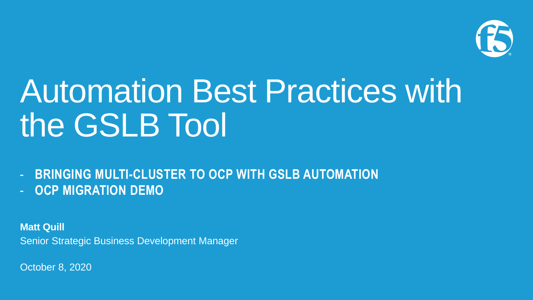

# Automation Best Practices with the GSLB Tool

**BRINGING MULTI-CLUSTER TO OCP WITH GSLB AUTOMATION OCP MIGRATION DEMO** 

**Matt Quill** Senior Strategic Business Development Manager

October 8, 2020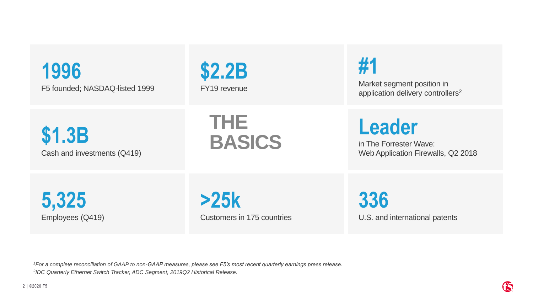### **1996** F5 founded; NASDAQ-listed 1999



**#1**

Market segment position in application delivery controllers<sup>2</sup>

**\$1.3B** Cash and investments (Q419) **THE BASICS**

**Leader**

in The Forrester Wave: Web Application Firewalls, Q2 2018

**5,325** Employees (Q419)

**>25k** Customers in 175 countries **336** U.S. and international patents

*<sup>1</sup>For a complete reconciliation of GAAP to non-GAAP measures, please see F5's most recent quarterly earnings press release. 2 IDC Quarterly Ethernet Switch Tracker, ADC Segment, 2019Q2 Historical Release.*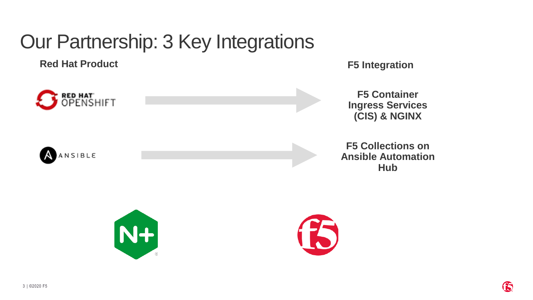## Our Partnership: 3 Key Integrations

**Red Hat Product F5 Integration**



**F5 Container Ingress Services (CIS) & NGINX**

AANSIBLE



**F5 Collections on Ansible Automation Hub**



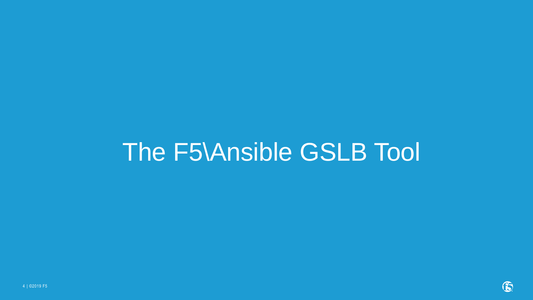# The F5\Ansible GSLB Tool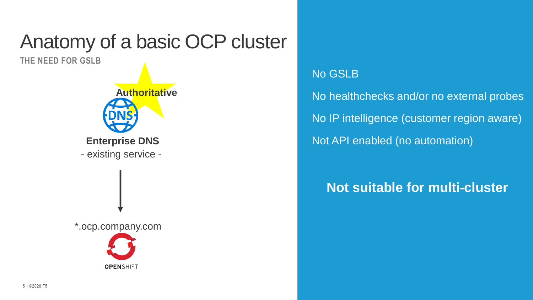## Anatomy of a basic OCP cluster

**THE NEED FOR GSLB**



#### No GSLB

No healthchecks and/or no external probes No IP intelligence (customer region aware) Not API enabled (no automation)

#### **Not suitable for multi-cluster**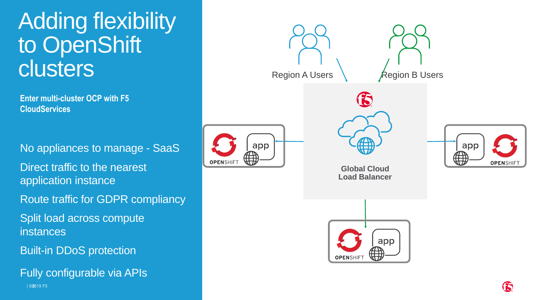## Adding flexibility to OpenShift clusters

**Enter multi-cluster OCP with F5 CloudServices**

No appliances to manage - SaaS Direct traffic to the nearest application instance Route traffic for GDPR compliancy Split load across compute instances Built-in DDoS protection

| ©26019 F5 Fully configurable via APIs

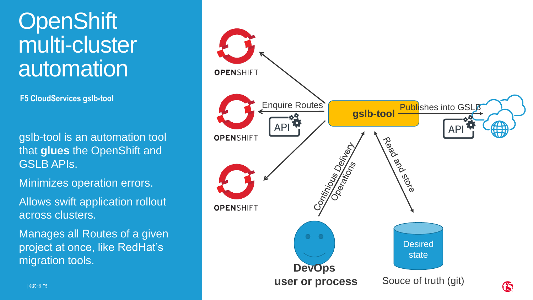## **OpenShift** multi-cluster automation

**F5 CloudServices gslb-tool**

gslb-tool is an automation tool that **glues** the OpenShift and GSLB APIs.

Minimizes operation errors.

Allows swift application rollout across clusters.

Manages all Routes of a given project at once, like RedHat's migration tools.

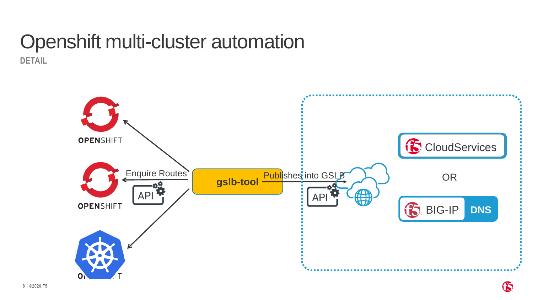# Openshift multi-cluster automation

**DETAIL**

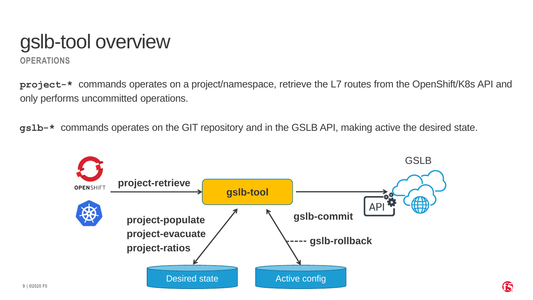### **OPERATIONS** gslb-tool overview

**project-\*** commands operates on a project/namespace, retrieve the L7 routes from the OpenShift/K8s API and only performs uncommitted operations.

**gslb-\*** commands operates on the GIT repository and in the GSLB API, making active the desired state.

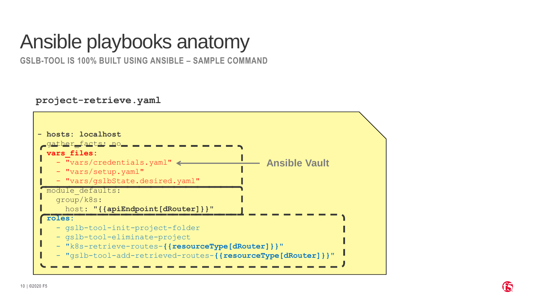## Ansible playbooks anatomy

**GSLB-TOOL IS 100% BUILT USING ANSIBLE – SAMPLE COMMAND**

**project-retrieve.yaml**

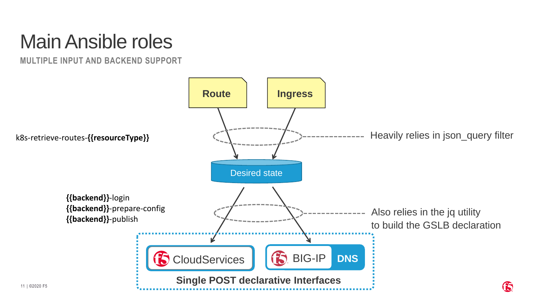## Main Ansible roles

**MULTIPLE INPUT AND BACKEND SUPPORT**

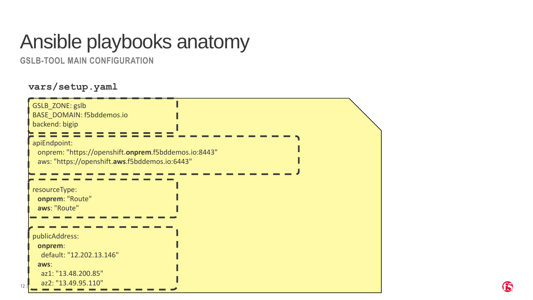### Ansible playbooks anatomy

**GSLB-TOOL MAIN CONFIGURATION**

#### **vars/setup.yaml**

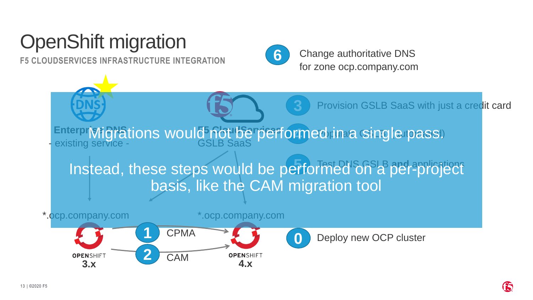## OpenShift migration

**F5 CLOUDSERVICES INFRASTRUCTURE INTEGRATION**



**6** Change authoritative DNS for zone ocp.company.com

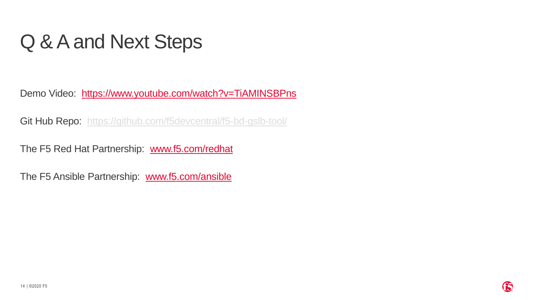## Q & A and Next Steps

Demo Video: <https://www.youtube.com/watch?v=TiAMINSBPns>

Git Hub Repo: <https://github.com/f5devcentral/f5-bd-gslb-tool/>

The F5 Red Hat Partnership: [www.f5.com/redhat](http://www.f5.com/redhat)

The F5 Ansible Partnership: [www.f5.com/ansible](http://www.f5.com/ansible)